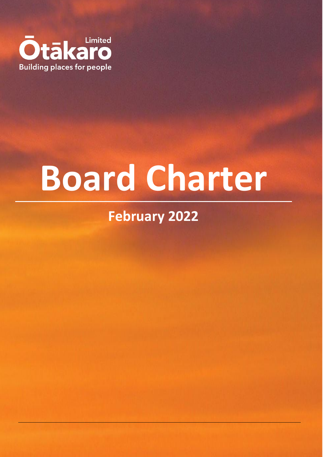

# **Board Charter**

# **February 2022**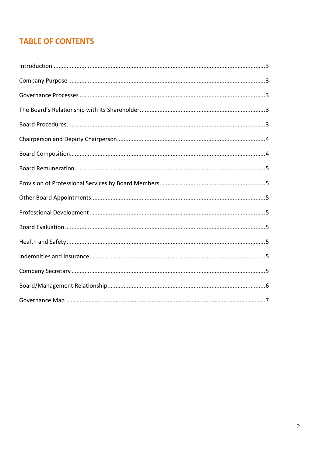## **TABLE OF CONTENTS**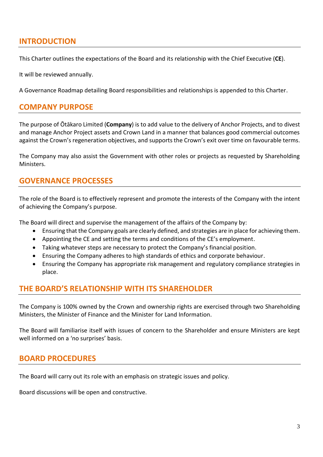#### <span id="page-2-0"></span>**INTRODUCTION**

This Charter outlines the expectations of the Board and its relationship with the Chief Executive (**CE**).

It will be reviewed annually.

A Governance Roadmap detailing Board responsibilities and relationships is appended to this Charter.

#### <span id="page-2-1"></span>**COMPANY PURPOSE**

The purpose of Ōtākaro Limited (**Company**) is to add value to the delivery of Anchor Projects, and to divest and manage Anchor Project assets and Crown Land in a manner that balances good commercial outcomes against the Crown's regeneration objectives, and supports the Crown's exit over time on favourable terms.

The Company may also assist the Government with other roles or projects as requested by Shareholding Ministers.

#### <span id="page-2-2"></span>**GOVERNANCE PROCESSES**

The role of the Board is to effectively represent and promote the interests of the Company with the intent of achieving the Company's purpose.

The Board will direct and supervise the management of the affairs of the Company by:

- Ensuring that the Company goals are clearly defined, and strategies are in place for achieving them.
- Appointing the CE and setting the terms and conditions of the CE's employment.
- Taking whatever steps are necessary to protect the Company's financial position.
- Ensuring the Company adheres to high standards of ethics and corporate behaviour.
- Ensuring the Company has appropriate risk management and regulatory compliance strategies in place.

#### <span id="page-2-3"></span>**THE BOARD'S RELATIONSHIP WITH ITS SHAREHOLDER**

The Company is 100% owned by the Crown and ownership rights are exercised through two Shareholding Ministers, the Minister of Finance and the Minister for Land Information.

The Board will familiarise itself with issues of concern to the Shareholder and ensure Ministers are kept well informed on a 'no surprises' basis.

#### <span id="page-2-4"></span>**BOARD PROCEDURES**

The Board will carry out its role with an emphasis on strategic issues and policy.

Board discussions will be open and constructive.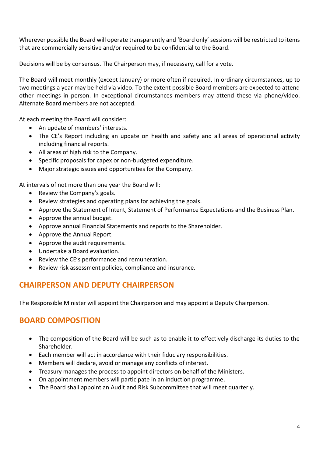Wherever possible the Board will operate transparently and 'Board only' sessions will be restricted to items that are commercially sensitive and/or required to be confidential to the Board.

Decisions will be by consensus. The Chairperson may, if necessary, call for a vote.

The Board will meet monthly (except January) or more often if required. In ordinary circumstances, up to two meetings a year may be held via video. To the extent possible Board members are expected to attend other meetings in person. In exceptional circumstances members may attend these via phone/video. Alternate Board members are not accepted.

At each meeting the Board will consider:

- An update of members' interests.
- The CE's Report including an update on health and safety and all areas of operational activity including financial reports.
- All areas of high risk to the Company.
- Specific proposals for capex or non-budgeted expenditure.
- Major strategic issues and opportunities for the Company.

At intervals of not more than one year the Board will:

- Review the Company's goals.
- Review strategies and operating plans for achieving the goals.
- Approve the Statement of Intent, Statement of Performance Expectations and the Business Plan.
- Approve the annual budget.
- Approve annual Financial Statements and reports to the Shareholder.
- Approve the Annual Report.
- Approve the audit requirements.
- Undertake a Board evaluation.
- Review the CE's performance and remuneration.
- Review risk assessment policies, compliance and insurance.

#### <span id="page-3-0"></span>**CHAIRPERSON AND DEPUTY CHAIRPERSON**

The Responsible Minister will appoint the Chairperson and may appoint a Deputy Chairperson.

#### <span id="page-3-1"></span>**BOARD COMPOSITION**

- The composition of the Board will be such as to enable it to effectively discharge its duties to the Shareholder.
- Each member will act in accordance with their fiduciary responsibilities.
- Members will declare, avoid or manage any conflicts of interest.
- Treasury manages the process to appoint directors on behalf of the Ministers.
- On appointment members will participate in an induction programme.
- The Board shall appoint an Audit and Risk Subcommittee that will meet quarterly.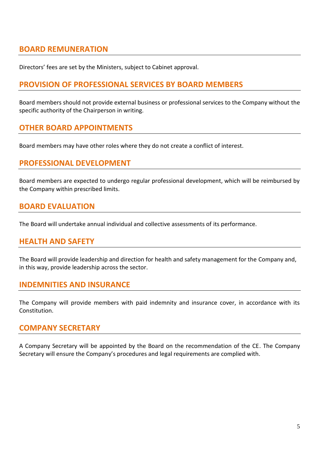#### <span id="page-4-0"></span>**BOARD REMUNERATION**

Directors' fees are set by the Ministers, subject to Cabinet approval.

#### <span id="page-4-1"></span>**PROVISION OF PROFESSIONAL SERVICES BY BOARD MEMBERS**

Board members should not provide external business or professional services to the Company without the specific authority of the Chairperson in writing.

#### <span id="page-4-2"></span>**OTHER BOARD APPOINTMENTS**

Board members may have other roles where they do not create a conflict of interest.

#### <span id="page-4-3"></span>**PROFESSIONAL DEVELOPMENT**

Board members are expected to undergo regular professional development, which will be reimbursed by the Company within prescribed limits.

#### <span id="page-4-4"></span>**BOARD EVALUATION**

The Board will undertake annual individual and collective assessments of its performance.

#### <span id="page-4-5"></span>**HEALTH AND SAFETY**

The Board will provide leadership and direction for health and safety management for the Company and, in this way, provide leadership across the sector.

#### <span id="page-4-6"></span>**INDEMNITIES AND INSURANCE**

The Company will provide members with paid indemnity and insurance cover, in accordance with its Constitution.

#### <span id="page-4-7"></span>**COMPANY SECRETARY**

A Company Secretary will be appointed by the Board on the recommendation of the CE. The Company Secretary will ensure the Company's procedures and legal requirements are complied with.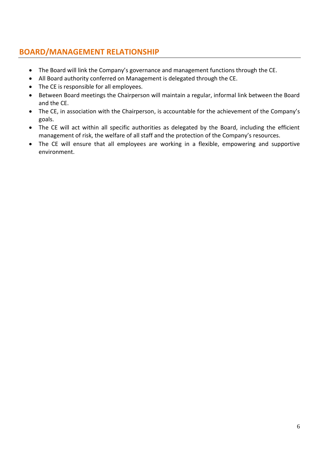### <span id="page-5-0"></span>**BOARD/MANAGEMENT RELATIONSHIP**

- The Board will link the Company's governance and management functions through the CE.
- All Board authority conferred on Management is delegated through the CE.
- The CE is responsible for all employees.
- Between Board meetings the Chairperson will maintain a regular, informal link between the Board and the CE.
- The CE, in association with the Chairperson, is accountable for the achievement of the Company's goals.
- The CE will act within all specific authorities as delegated by the Board, including the efficient management of risk, the welfare of all staff and the protection of the Company's resources.
- The CE will ensure that all employees are working in a flexible, empowering and supportive environment.